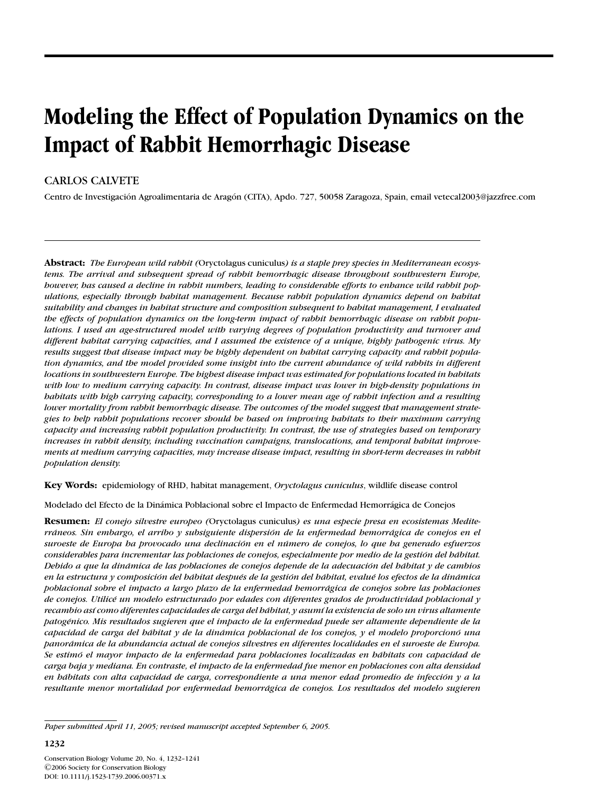# **Modeling the Effect of Population Dynamics on the Impact of Rabbit Hemorrhagic Disease**

## CARLOS CALVETE

Centro de Investigación Agroalimentaria de Aragón (CITA), Apdo. 727, 50058 Zaragoza, Spain, email vetecal2003@jazzfree.com

**Abstract:** *The European wild rabbit (*Oryctolagus cuniculus*) is a staple prey species in Mediterranean ecosystems. The arrival and subsequent spread of rabbit hemorrhagic disease throughout southwestern Europe, however, has caused a decline in rabbit numbers, leading to considerable efforts to enhance wild rabbit populations, especially through habitat management. Because rabbit population dynamics depend on habitat suitability and changes in habitat structure and composition subsequent to habitat management, I evaluated the effects of population dynamics on the long-term impact of rabbit hemorrhagic disease on rabbit populations. I used an age-structured model with varying degrees of population productivity and turnover and different habitat carrying capacities, and I assumed the existence of a unique, highly pathogenic virus. My results suggest that disease impact may be highly dependent on habitat carrying capacity and rabbit population dynamics, and the model provided some insight into the current abundance of wild rabbits in different locations in southwestern Europe. The highest disease impact was estimated for populations located in habitats with low to medium carrying capacity. In contrast, disease impact was lower in high-density populations in habitats with high carrying capacity, corresponding to a lower mean age of rabbit infection and a resulting lower mortality from rabbit hemorrhagic disease. The outcomes of the model suggest that management strategies to help rabbit populations recover should be based on improving habitats to their maximum carrying capacity and increasing rabbit population productivity. In contrast, the use of strategies based on temporary increases in rabbit density, including vaccination campaigns, translocations, and temporal habitat improvements at medium carrying capacities, may increase disease impact, resulting in short-term decreases in rabbit population density.*

**Key Words:** epidemiology of RHD, habitat management, *Oryctolagus cuniculus*, wildlife disease control

Modelado del Efecto de la Dinámica Poblacional sobre el Impacto de Enfermedad Hemorrágica de Conejos

**Resumen:** *El conejo silvestre europeo (*Oryctolagus cuniculus*) es una especie presa en ecosistemas Mediterraneos. Sin embargo, el arribo y subsiguiente dispersi ´ on de la enfermedad hemorr ´ agica de conejos en el ´ suroeste de Europa ha provocado una declinacion en el n ´ umero de conejos, lo que ha generado esfuerzos ´ considerables para incrementar las poblaciones de conejos, especialmente por medio de la gestion del h ´ abitat. ´ Debido a que la dinámica de las poblaciones de conejos depende de la adecuación del bábitat y de cambios en la estructura y composicion del h ´ abitat despu ´ ´es de la gestion del h ´ abitat, evalu ´ ´e los efectos de la dinamica ´ poblacional sobre el impacto a largo plazo de la enfermedad hemorragica de conejos sobre las poblaciones ´ de conejos. Utilic´e un modelo estructurado por edades con diferentes grados de productividad poblacional y recambio as´ı como diferentes capacidades de carga del habitat, y asum ´ ´ı la existencia de solo un virus altamente patog´enico. Mis resultados sugieren que el impacto de la enfermedad puede ser altamente dependiente de la capacidad de carga del habitat y de la din ´ amica poblacional de los conejos, y el modelo proporcion ´ o una ´ panoramica de la abundancia actual de conejos silvestres en diferentes localidades en el suroeste de Europa. ´ Se estimo el mayor impacto de la enfermedad para poblaciones localizadas en h ´ abitats con capacidad de ´ carga baja y mediana. En contraste, el impacto de la enfermedad fue menor en poblaciones con alta densidad en hábitats con alta capacidad de carga, correspondiente a una menor edad promedio de infección*  $\gamma$  *a la resultante menor mortalidad por enfermedad hemorragica de conejos. Los resultados del modelo sugieren ´*

*Paper submitted April 11, 2005; revised manuscript accepted September 6, 2005.*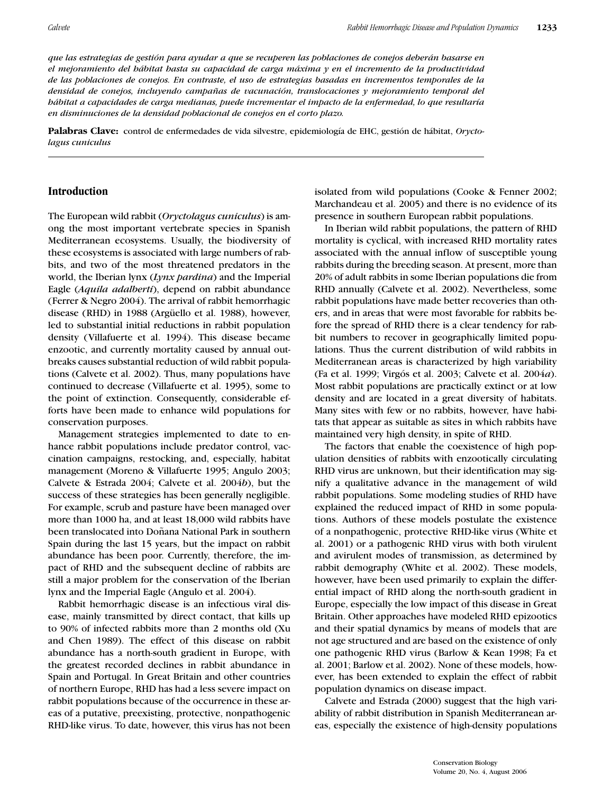*gue las estrategias de gestión para ayudar a que se recuperen las poblaciones de conejos deberán basarse en el mejoramiento del habitat hasta su capacidad de carga m ´ axima y en el incremento de la productividad ´ de las poblaciones de conejos. En contraste, el uso de estrategias basadas en incrementos temporales de la densidad de conejos, incluyendo campanas de vacunaci ˜ on, translocaciones y mejoramiento temporal del ´ hábitat a capacidades de carga medianas, puede incrementar el impacto de la enfermedad, lo que resultaría en disminuciones de la densidad poblacional de conejos en el corto plazo.*

Palabras Clave: control de enfermedades de vida silvestre, epidemiología de EHC, gestión de hábitat, *Oryctolagus cuniculus*

## **Introduction**

The European wild rabbit (*Oryctolagus cuniculus*) is among the most important vertebrate species in Spanish Mediterranean ecosystems. Usually, the biodiversity of these ecosystems is associated with large numbers of rabbits, and two of the most threatened predators in the world, the Iberian lynx (*Lynx pardina*) and the Imperial Eagle (*Aquila adalberti*), depend on rabbit abundance (Ferrer & Negro 2004). The arrival of rabbit hemorrhagic disease (RHD) in 1988 (Argüello et al. 1988), however, led to substantial initial reductions in rabbit population density (Villafuerte et al. 1994). This disease became enzootic, and currently mortality caused by annual outbreaks causes substantial reduction of wild rabbit populations (Calvete et al. 2002). Thus, many populations have continued to decrease (Villafuerte et al. 1995), some to the point of extinction. Consequently, considerable efforts have been made to enhance wild populations for conservation purposes.

Management strategies implemented to date to enhance rabbit populations include predator control, vaccination campaigns, restocking, and, especially, habitat management (Moreno & Villafuerte 1995; Angulo 2003; Calvete & Estrada 2004; Calvete et al. 2004*b*), but the success of these strategies has been generally negligible. For example, scrub and pasture have been managed over more than 1000 ha, and at least 18,000 wild rabbits have been translocated into Doñana National Park in southern Spain during the last 15 years, but the impact on rabbit abundance has been poor. Currently, therefore, the impact of RHD and the subsequent decline of rabbits are still a major problem for the conservation of the Iberian lynx and the Imperial Eagle (Angulo et al. 2004).

Rabbit hemorrhagic disease is an infectious viral disease, mainly transmitted by direct contact, that kills up to 90% of infected rabbits more than 2 months old (Xu and Chen 1989). The effect of this disease on rabbit abundance has a north-south gradient in Europe, with the greatest recorded declines in rabbit abundance in Spain and Portugal. In Great Britain and other countries of northern Europe, RHD has had a less severe impact on rabbit populations because of the occurrence in these areas of a putative, preexisting, protective, nonpathogenic RHD-like virus. To date, however, this virus has not been isolated from wild populations (Cooke & Fenner 2002; Marchandeau et al. 2005) and there is no evidence of its presence in southern European rabbit populations.

In Iberian wild rabbit populations, the pattern of RHD mortality is cyclical, with increased RHD mortality rates associated with the annual inflow of susceptible young rabbits during the breeding season. At present, more than 20% of adult rabbits in some Iberian populations die from RHD annually (Calvete et al. 2002). Nevertheless, some rabbit populations have made better recoveries than others, and in areas that were most favorable for rabbits before the spread of RHD there is a clear tendency for rabbit numbers to recover in geographically limited populations. Thus the current distribution of wild rabbits in Mediterranean areas is characterized by high variability (Fa et al. 1999; Virgós et al. 2003; Calvete et al. 2004*a*). Most rabbit populations are practically extinct or at low density and are located in a great diversity of habitats. Many sites with few or no rabbits, however, have habitats that appear as suitable as sites in which rabbits have maintained very high density, in spite of RHD.

The factors that enable the coexistence of high population densities of rabbits with enzootically circulating RHD virus are unknown, but their identification may signify a qualitative advance in the management of wild rabbit populations. Some modeling studies of RHD have explained the reduced impact of RHD in some populations. Authors of these models postulate the existence of a nonpathogenic, protective RHD-like virus (White et al. 2001) or a pathogenic RHD virus with both virulent and avirulent modes of transmission, as determined by rabbit demography (White et al. 2002). These models, however, have been used primarily to explain the differential impact of RHD along the north-south gradient in Europe, especially the low impact of this disease in Great Britain. Other approaches have modeled RHD epizootics and their spatial dynamics by means of models that are not age structured and are based on the existence of only one pathogenic RHD virus (Barlow & Kean 1998; Fa et al. 2001; Barlow et al. 2002). None of these models, however, has been extended to explain the effect of rabbit population dynamics on disease impact.

Calvete and Estrada (2000) suggest that the high variability of rabbit distribution in Spanish Mediterranean areas, especially the existence of high-density populations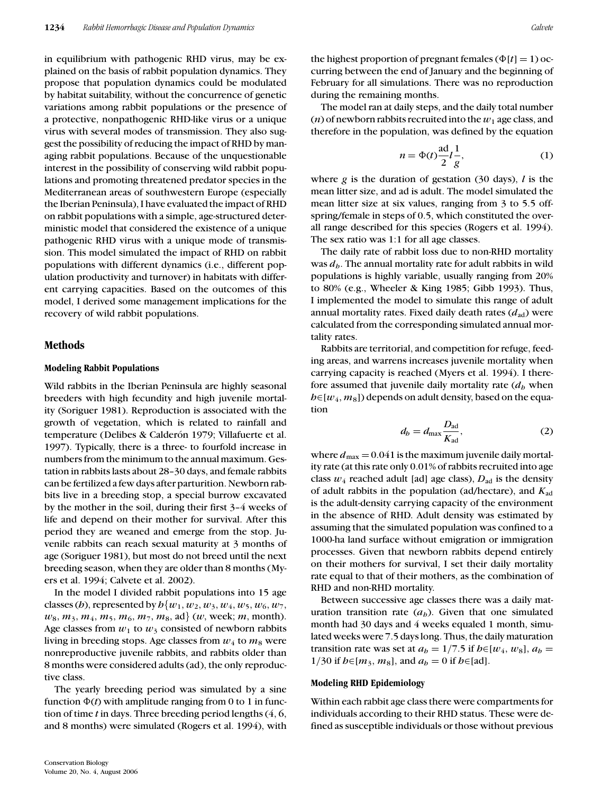in equilibrium with pathogenic RHD virus, may be explained on the basis of rabbit population dynamics. They propose that population dynamics could be modulated by habitat suitability, without the concurrence of genetic variations among rabbit populations or the presence of a protective, nonpathogenic RHD-like virus or a unique virus with several modes of transmission. They also suggest the possibility of reducing the impact of RHD by managing rabbit populations. Because of the unquestionable interest in the possibility of conserving wild rabbit populations and promoting threatened predator species in the Mediterranean areas of southwestern Europe (especially the Iberian Peninsula), I have evaluated the impact of RHD on rabbit populations with a simple, age-structured deterministic model that considered the existence of a unique pathogenic RHD virus with a unique mode of transmission. This model simulated the impact of RHD on rabbit populations with different dynamics (i.e., different population productivity and turnover) in habitats with different carrying capacities. Based on the outcomes of this model, I derived some management implications for the recovery of wild rabbit populations.

### **Methods**

#### **Modeling Rabbit Populations**

Wild rabbits in the Iberian Peninsula are highly seasonal breeders with high fecundity and high juvenile mortality (Soriguer 1981). Reproduction is associated with the growth of vegetation, which is related to rainfall and temperature (Delibes & Calderón 1979; Villafuerte et al. 1997). Typically, there is a three- to fourfold increase in numbers from the minimum to the annual maximum. Gestation in rabbits lasts about 28–30 days, and female rabbits can be fertilized a few days after parturition. Newborn rabbits live in a breeding stop, a special burrow excavated by the mother in the soil, during their first 3–4 weeks of life and depend on their mother for survival. After this period they are weaned and emerge from the stop. Juvenile rabbits can reach sexual maturity at 3 months of age (Soriguer 1981), but most do not breed until the next breeding season, when they are older than 8 months (Myers et al. 1994; Calvete et al. 2002).

In the model I divided rabbit populations into 15 age classes (*h*), represented by  $h\{w_1, w_2, w_3, w_4, w_5, w_6, w_7, w_8, w_9, w_9, w_{10}\}$  $w_8, m_3, m_4, m_5, m_6, m_7, m_8, \text{ad}$  (*w*, week; *m*, month). Age classes from  $w_1$  to  $w_3$  consisted of newborn rabbits living in breeding stops. Age classes from  $w_4$  to  $m_8$  were nonreproductive juvenile rabbits, and rabbits older than 8 months were considered adults (ad), the only reproductive class.

The yearly breeding period was simulated by a sine function  $\Phi(t)$  with amplitude ranging from  $0$  to  $1$  in function of time *t* in days. Three breeding period lengths (4, 6, and 8 months) were simulated (Rogers et al. 1994), with the highest proportion of pregnant females ( $\Phi[t] = 1$ ) occurring between the end of January and the beginning of February for all simulations. There was no reproduction during the remaining months.

The model ran at daily steps, and the daily total number  $(n)$  of newborn rabbits recruited into the  $w_1$  age class, and therefore in the population, was defined by the equation

$$
n = \Phi(t) \frac{\text{ad}}{2} l \frac{1}{g},\tag{1}
$$

where *g* is the duration of gestation (30 days), *l* is the mean litter size, and ad is adult. The model simulated the mean litter size at six values, ranging from 3 to 5.5 offspring/female in steps of 0.5, which constituted the overall range described for this species (Rogers et al. 1994). The sex ratio was 1:1 for all age classes.

The daily rate of rabbit loss due to non-RHD mortality was  $d<sub>b</sub>$ . The annual mortality rate for adult rabbits in wild populations is highly variable, usually ranging from 20% to 80% (e.g., Wheeler & King 1985; Gibb 1993). Thus, I implemented the model to simulate this range of adult annual mortality rates. Fixed daily death rates  $(d_{ad})$  were calculated from the corresponding simulated annual mortality rates.

Rabbits are territorial, and competition for refuge, feeding areas, and warrens increases juvenile mortality when carrying capacity is reached (Myers et al. 1994). I therefore assumed that juvenile daily mortality rate (*dh* when *h*∈[*w*<sub>4</sub>, *m*<sub>8</sub>]) depends on adult density, based on the equation

$$
d_b = d_{\text{max}} \frac{D_{\text{ad}}}{K_{\text{ad}}},\tag{2}
$$

where  $d_{\text{max}} = 0.041$  is the maximum juvenile daily mortality rate (at this rate only 0.01% of rabbits recruited into age class  $w_4$  reached adult [ad] age class),  $D_{ad}$  is the density of adult rabbits in the population (ad/hectare), and *K*ad is the adult-density carrying capacity of the environment in the absence of RHD. Adult density was estimated by assuming that the simulated population was confined to a 1000-ha land surface without emigration or immigration processes. Given that newborn rabbits depend entirely on their mothers for survival, I set their daily mortality rate equal to that of their mothers, as the combination of RHD and non-RHD mortality.

Between successive age classes there was a daily maturation transition rate  $(a<sub>b</sub>)$ . Given that one simulated month had 30 days and 4 weeks equaled 1 month, simulated weeks were 7.5 days long. Thus, the daily maturation transition rate was set at  $a_b = 1/7.5$  if  $b \in [w_4, w_8]$ ,  $a_b =$ 1/30 if *h*∈[*m*<sub>3</sub>, *m*<sub>8</sub>], and  $a<sub>b</sub> = 0$  if *h*∈[ad].

#### **Modeling RHD Epidemiology**

Within each rabbit age class there were compartments for individuals according to their RHD status. These were defined as susceptible individuals or those without previous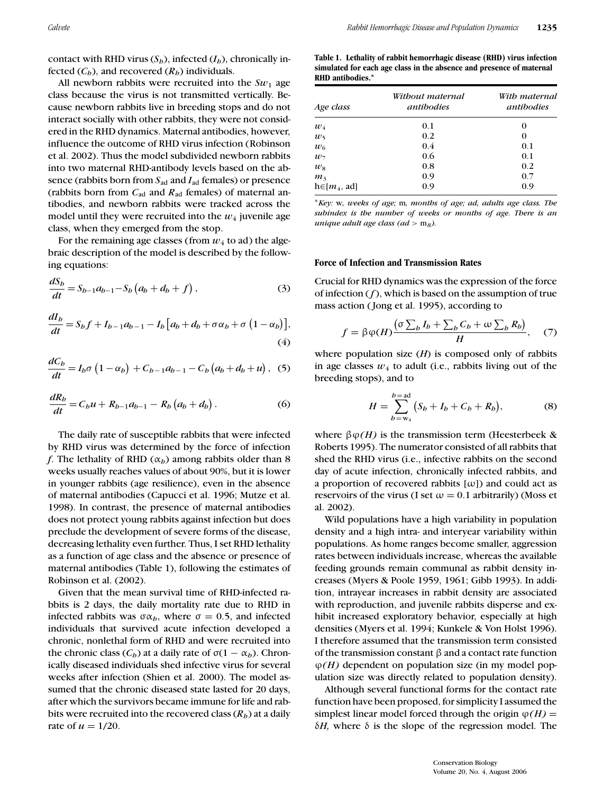contact with RHD virus  $(S_h)$ , infected  $(I_h)$ , chronically infected  $(C_b)$ , and recovered  $(R_b)$  individuals.

All newborn rabbits were recruited into the  $Sw_1$  age class because the virus is not transmitted vertically. Because newborn rabbits live in breeding stops and do not interact socially with other rabbits, they were not considered in the RHD dynamics. Maternal antibodies, however, influence the outcome of RHD virus infection (Robinson et al. 2002). Thus the model subdivided newborn rabbits into two maternal RHD-antibody levels based on the absence (rabbits born from  $S_{ad}$  and  $I_{ad}$  females) or presence (rabbits born from  $C_{ad}$  and  $R_{ad}$  females) of maternal antibodies, and newborn rabbits were tracked across the model until they were recruited into the  $w_4$  juvenile age class, when they emerged from the stop.

For the remaining age classes (from  $w_4$  to ad) the algebraic description of the model is described by the following equations:

$$
\frac{dS_b}{dt} = S_{b-1}a_{b-1} - S_b(a_b + d_b + f),
$$
\n(3)

$$
\frac{dI_b}{dt} = S_b f + I_{b-1} a_{b-1} - I_b \left[ a_b + d_b + \sigma \alpha_b + \sigma \left( 1 - \alpha_b \right) \right],\tag{4}
$$

$$
\frac{dC_b}{dt} = I_b \sigma (1 - \alpha_b) + C_{b-1} a_{b-1} - C_b (a_b + d_b + u), \quad (5)
$$

$$
\frac{dR_b}{dt} = C_b u + R_{b-1} a_{b-1} - R_b (a_b + d_b).
$$
 (6)

The daily rate of susceptible rabbits that were infected by RHD virus was determined by the force of infection *f*. The lethality of RHD ( $\alpha_h$ ) among rabbits older than 8 weeks usually reaches values of about 90%, but it is lower in younger rabbits (age resilience), even in the absence of maternal antibodies (Capucci et al. 1996; Mutze et al. 1998). In contrast, the presence of maternal antibodies does not protect young rabbits against infection but does preclude the development of severe forms of the disease, decreasing lethality even further. Thus, I set RHD lethality as a function of age class and the absence or presence of maternal antibodies (Table 1), following the estimates of Robinson et al. (2002).

Given that the mean survival time of RHD-infected rabbits is 2 days, the daily mortality rate due to RHD in infected rabbits was  $\sigma \alpha_b$ , where  $\sigma = 0.5$ , and infected individuals that survived acute infection developed a chronic, nonlethal form of RHD and were recruited into the chronic class ( $C_b$ ) at a daily rate of  $\sigma(1 - \alpha_b)$ . Chronically diseased individuals shed infective virus for several weeks after infection (Shien et al. 2000). The model assumed that the chronic diseased state lasted for 20 days, after which the survivors became immune for life and rabbits were recruited into the recovered class  $(R_h)$  at a daily rate of  $u = 1/20$ .

**Table 1. Lethality of rabbit hemorrhagic disease (RHD) virus infection simulated for each age class in the absence and presence of maternal RHD antibodies.***<sup>∗</sup>*

| Age class         | Without maternal<br>antibodies | With maternal<br>antibodies |  |  |
|-------------------|--------------------------------|-----------------------------|--|--|
| $w_4$             | 0.1                            | 0                           |  |  |
| $w_5$             | 0.2                            | 0                           |  |  |
| $w_6$             | 0.4                            | 0.1                         |  |  |
| $w_7$             | 0.6                            | 0.1                         |  |  |
| $w_8$             | 0.8                            | 0.2                         |  |  |
| m <sub>3</sub>    | 0.9                            | 0.7                         |  |  |
| $h \in [m_4, ad]$ | 0.9                            | 0.9                         |  |  |

<sup>∗</sup>*Key:* w*, weeks of age;* m*, months of age; ad, adults age class. The subindex is the number of weeks or months of age. There is an unique adult age class (ad* > m*8).*

#### **Force of Infection and Transmission Rates**

Crucial for RHD dynamics was the expression of the force of infection (*f*), which is based on the assumption of true mass action ( Jong et al. 1995), according to

$$
f = \beta \varphi(H) \frac{\left(\sigma \sum_b I_b + \sum_b C_b + \omega \sum_b R_b\right)}{H}, \quad (7)
$$

where population size (*H*) is composed only of rabbits in age classes  $w_4$  to adult (i.e., rabbits living out of the breeding stops), and to

$$
H = \sum_{b=\mathrm{w}_4}^{b=\mathrm{ad}} (S_b + I_b + C_b + R_b), \tag{8}
$$

where  $\beta \varphi(H)$  is the transmission term (Heesterbeek & Roberts 1995). The numerator consisted of all rabbits that shed the RHD virus (i.e., infective rabbits on the second day of acute infection, chronically infected rabbits, and a proportion of recovered rabbits  $[\omega]$  and could act as reservoirs of the virus (I set  $\omega = 0.1$  arbitrarily) (Moss et al. 2002).

Wild populations have a high variability in population density and a high intra- and interyear variability within populations. As home ranges become smaller, aggression rates between individuals increase, whereas the available feeding grounds remain communal as rabbit density increases (Myers & Poole 1959, 1961; Gibb 1993). In addition, intrayear increases in rabbit density are associated with reproduction, and juvenile rabbits disperse and exhibit increased exploratory behavior, especially at high densities (Myers et al. 1994; Kunkele & Von Holst 1996). I therefore assumed that the transmission term consisted of the transmission constant β and a contact rate function ϕ*(H)* dependent on population size (in my model population size was directly related to population density).

Although several functional forms for the contact rate function have been proposed, for simplicity I assumed the simplest linear model forced through the origin  $\varphi(H)$  =  $δH$ , where  $δ$  is the slope of the regression model. The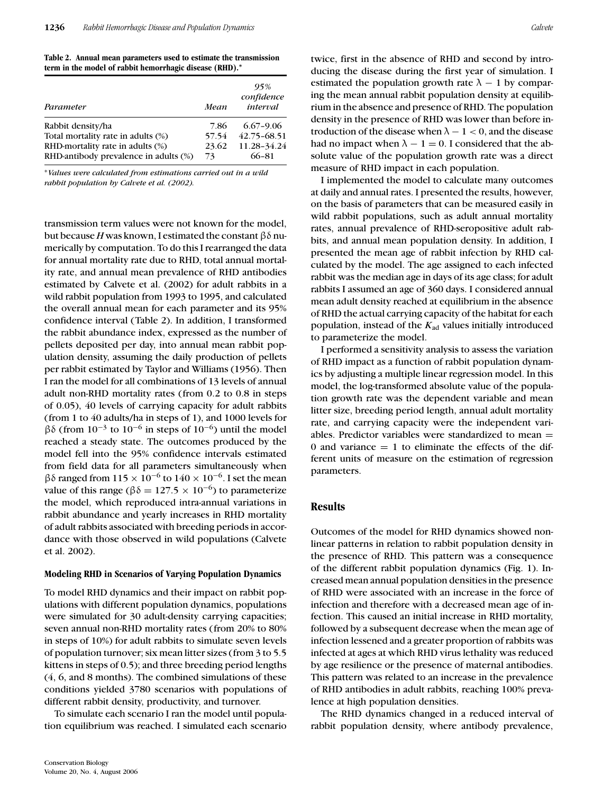**Table 2. Annual mean parameters used to estimate the transmission term in the model of rabbit hemorrhagic disease (RHD).***<sup>∗</sup>*

| Parameter                             | Mean  | 95%<br>confidence<br>interval |
|---------------------------------------|-------|-------------------------------|
| Rabbit density/ha                     | 7.86  | $6.67 - 9.06$                 |
| Total mortality rate in adults (%)    | 57.54 | 42.75-68.51                   |
| RHD-mortality rate in adults (%)      | 23.62 | 11.28-34.24                   |
| RHD-antibody prevalence in adults (%) | 73    | 66-81                         |

<sup>∗</sup>*Values were calculated from estimations carried out in a wild rabbit population by Calvete et al. (2002).*

transmission term values were not known for the model, but because *H* was known, I estimated the constantβδ numerically by computation. To do this I rearranged the data for annual mortality rate due to RHD, total annual mortality rate, and annual mean prevalence of RHD antibodies estimated by Calvete et al. (2002) for adult rabbits in a wild rabbit population from 1993 to 1995, and calculated the overall annual mean for each parameter and its 95% confidence interval (Table 2). In addition, I transformed the rabbit abundance index, expressed as the number of pellets deposited per day, into annual mean rabbit population density, assuming the daily production of pellets per rabbit estimated by Taylor and Williams (1956). Then I ran the model for all combinations of 13 levels of annual adult non-RHD mortality rates (from 0.2 to 0.8 in steps of 0.05), 40 levels of carrying capacity for adult rabbits (from 1 to 40 adults/ha in steps of 1), and 1000 levels for  $βδ$  (from 10<sup>-3</sup> to 10<sup>-6</sup> in steps of 10<sup>-6</sup>) until the model reached a steady state. The outcomes produced by the model fell into the 95% confidence intervals estimated from field data for all parameters simultaneously when βδ ranged from  $115 \times 10^{-6}$  to  $140 \times 10^{-6}$ . I set the mean value of this range ( $βδ = 127.5 × 10<sup>-6</sup>$ ) to parameterize the model, which reproduced intra-annual variations in rabbit abundance and yearly increases in RHD mortality of adult rabbits associated with breeding periods in accordance with those observed in wild populations (Calvete et al. 2002).

#### **Modeling RHD in Scenarios of Varying Population Dynamics**

To model RHD dynamics and their impact on rabbit populations with different population dynamics, populations were simulated for 30 adult-density carrying capacities; seven annual non-RHD mortality rates (from 20% to 80% in steps of 10%) for adult rabbits to simulate seven levels of population turnover; six mean litter sizes (from 3 to 5.5 kittens in steps of 0.5); and three breeding period lengths (4, 6, and 8 months). The combined simulations of these conditions yielded 3780 scenarios with populations of different rabbit density, productivity, and turnover.

To simulate each scenario I ran the model until population equilibrium was reached. I simulated each scenario

twice, first in the absence of RHD and second by introducing the disease during the first year of simulation. I estimated the population growth rate  $\lambda - 1$  by comparing the mean annual rabbit population density at equilibrium in the absence and presence of RHD. The population density in the presence of RHD was lower than before introduction of the disease when  $\lambda - 1 < 0$ , and the disease had no impact when  $\lambda - 1 = 0$ . I considered that the absolute value of the population growth rate was a direct measure of RHD impact in each population.

I implemented the model to calculate many outcomes at daily and annual rates. I presented the results, however, on the basis of parameters that can be measured easily in wild rabbit populations, such as adult annual mortality rates, annual prevalence of RHD-seropositive adult rabbits, and annual mean population density. In addition, I presented the mean age of rabbit infection by RHD calculated by the model. The age assigned to each infected rabbit was the median age in days of its age class; for adult rabbits I assumed an age of 360 days. I considered annual mean adult density reached at equilibrium in the absence of RHD the actual carrying capacity of the habitat for each population, instead of the  $K_{ad}$  values initially introduced to parameterize the model.

I performed a sensitivity analysis to assess the variation of RHD impact as a function of rabbit population dynamics by adjusting a multiple linear regression model. In this model, the log-transformed absolute value of the population growth rate was the dependent variable and mean litter size, breeding period length, annual adult mortality rate, and carrying capacity were the independent variables. Predictor variables were standardized to mean  $=$ 0 and variance  $= 1$  to eliminate the effects of the different units of measure on the estimation of regression parameters.

## **Results**

Outcomes of the model for RHD dynamics showed nonlinear patterns in relation to rabbit population density in the presence of RHD. This pattern was a consequence of the different rabbit population dynamics (Fig. 1). Increased mean annual population densities in the presence of RHD were associated with an increase in the force of infection and therefore with a decreased mean age of infection. This caused an initial increase in RHD mortality, followed by a subsequent decrease when the mean age of infection lessened and a greater proportion of rabbits was infected at ages at which RHD virus lethality was reduced by age resilience or the presence of maternal antibodies. This pattern was related to an increase in the prevalence of RHD antibodies in adult rabbits, reaching 100% prevalence at high population densities.

The RHD dynamics changed in a reduced interval of rabbit population density, where antibody prevalence,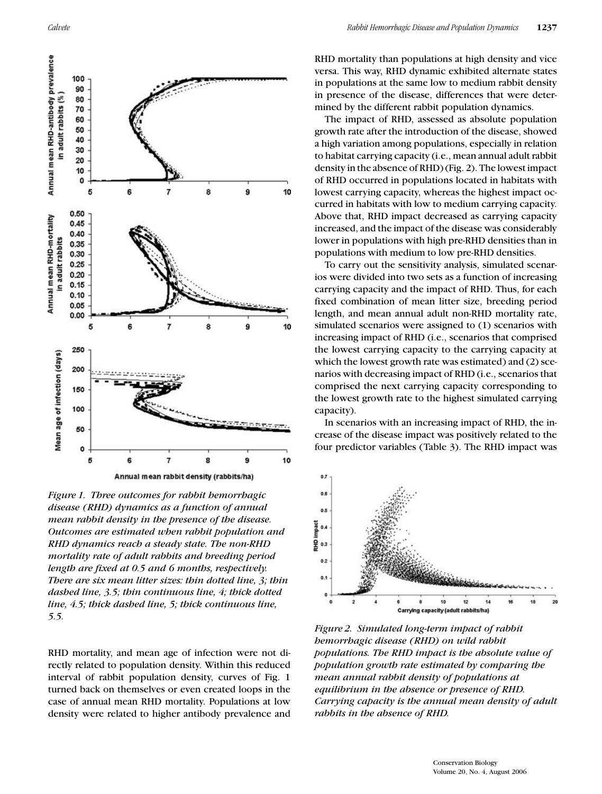

*Figure 1. Three outcomes for rabbit hemorrhagic disease (RHD) dynamics as a function of annual mean rabbit density in the presence of the disease. Outcomes are estimated when rabbit population and RHD dynamics reach a steady state. The non-RHD mortality rate of adult rabbits and breeding period length are fixed at 0.5 and 6 months, respectively. There are six mean litter sizes: thin dotted line, 3; thin dashed line, 3.5; thin continuous line, 4; thick dotted line, 4.5; thick dashed line, 5; thick continuous line, 5.5.*

RHD mortality, and mean age of infection were not directly related to population density. Within this reduced interval of rabbit population density, curves of Fig. 1 turned back on themselves or even created loops in the case of annual mean RHD mortality. Populations at low density were related to higher antibody prevalence and RHD mortality than populations at high density and vice versa. This way, RHD dynamic exhibited alternate states in populations at the same low to medium rabbit density in presence of the disease, differences that were determined by the different rabbit population dynamics.

The impact of RHD, assessed as absolute population growth rate after the introduction of the disease, showed a high variation among populations, especially in relation to habitat carrying capacity (i.e., mean annual adult rabbit density in the absence of RHD) (Fig. 2). The lowest impact of RHD occurred in populations located in habitats with lowest carrying capacity, whereas the highest impact occurred in habitats with low to medium carrying capacity. Above that, RHD impact decreased as carrying capacity increased, and the impact of the disease was considerably lower in populations with high pre-RHD densities than in populations with medium to low pre-RHD densities.

To carry out the sensitivity analysis, simulated scenarios were divided into two sets as a function of increasing carrying capacity and the impact of RHD. Thus, for each fixed combination of mean litter size, breeding period length, and mean annual adult non-RHD mortality rate, simulated scenarios were assigned to (1) scenarios with increasing impact of RHD (i.e., scenarios that comprised the lowest carrying capacity to the carrying capacity at which the lowest growth rate was estimated) and (2) scenarios with decreasing impact of RHD (i.e., scenarios that comprised the next carrying capacity corresponding to the lowest growth rate to the highest simulated carrying capacity).

In scenarios with an increasing impact of RHD, the increase of the disease impact was positively related to the four predictor variables (Table 3). The RHD impact was



*Figure 2. Simulated long-term impact of rabbit hemorrhagic disease (RHD) on wild rabbit populations. The RHD impact is the absolute value of population growth rate estimated by comparing the mean annual rabbit density of populations at equilibrium in the absence or presence of RHD. Carrying capacity is the annual mean density of adult rabbits in the absence of RHD.*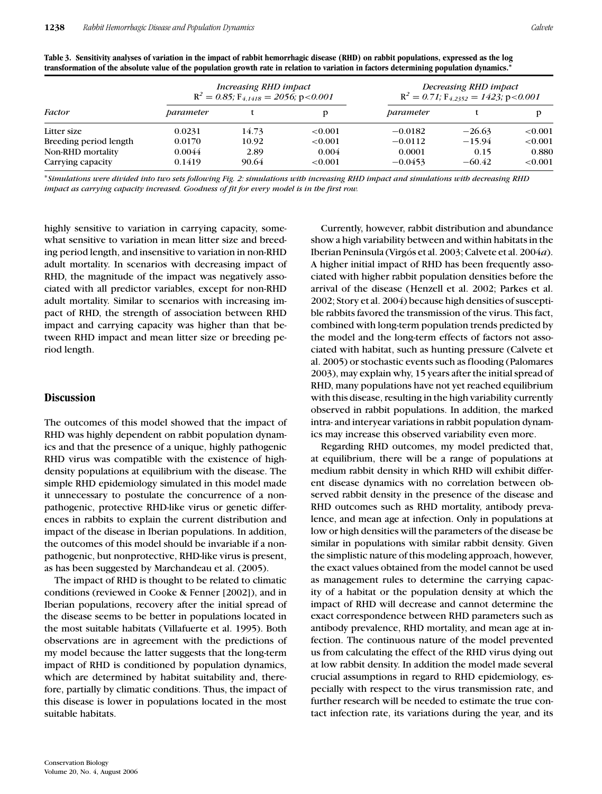| <b>Factor</b>          | Increasing RHD impact<br>$R^2 = 0.85$ ; $F_{4,1418} = 2056$ ; p<0.001 |       |         | Decreasing RHD impact<br>$R^2 = 0.71$ ; $F_{4,2352} = 1423$ ; p<0.001 |          |            |
|------------------------|-----------------------------------------------------------------------|-------|---------|-----------------------------------------------------------------------|----------|------------|
|                        | parameter                                                             |       |         | parameter                                                             |          |            |
| Litter size            | 0.0231                                                                | 14.73 | < 0.001 | $-0.0182$                                                             | $-26.63$ | < 0.001    |
| Breeding period length | 0.0170                                                                | 10.92 | < 0.001 | $-0.0112$                                                             | $-15.94$ | ${<}0.001$ |
| Non-RHD mortality      | 0.0044                                                                | 2.89  | 0.004   | 0.0001                                                                | 0.15     | 0.880      |
| Carrying capacity      | 0.1419                                                                | 90.64 | < 0.001 | $-0.0453$                                                             | $-60.42$ | ${<}0.001$ |

**Table 3. Sensitivity analyses of variation in the impact of rabbit hemorrhagic disease (RHD) on rabbit populations, expressed as the log transformation of the absolute value of the population growth rate in relation to variation in factors determining population dynamics.***<sup>∗</sup>*

<sup>∗</sup>*Simulations were divided into two sets following Fig. 2: simulations with increasing RHD impact and simulations with decreasing RHD impact as carrying capacity increased. Goodness of fit for every model is in the first row.*

highly sensitive to variation in carrying capacity, somewhat sensitive to variation in mean litter size and breeding period length, and insensitive to variation in non-RHD adult mortality. In scenarios with decreasing impact of RHD, the magnitude of the impact was negatively associated with all predictor variables, except for non-RHD adult mortality. Similar to scenarios with increasing impact of RHD, the strength of association between RHD impact and carrying capacity was higher than that between RHD impact and mean litter size or breeding period length.

#### **Discussion**

The outcomes of this model showed that the impact of RHD was highly dependent on rabbit population dynamics and that the presence of a unique, highly pathogenic RHD virus was compatible with the existence of highdensity populations at equilibrium with the disease. The simple RHD epidemiology simulated in this model made it unnecessary to postulate the concurrence of a nonpathogenic, protective RHD-like virus or genetic differences in rabbits to explain the current distribution and impact of the disease in Iberian populations. In addition, the outcomes of this model should be invariable if a nonpathogenic, but nonprotective, RHD-like virus is present, as has been suggested by Marchandeau et al. (2005).

The impact of RHD is thought to be related to climatic conditions (reviewed in Cooke & Fenner [2002]), and in Iberian populations, recovery after the initial spread of the disease seems to be better in populations located in the most suitable habitats (Villafuerte et al. 1995). Both observations are in agreement with the predictions of my model because the latter suggests that the long-term impact of RHD is conditioned by population dynamics, which are determined by habitat suitability and, therefore, partially by climatic conditions. Thus, the impact of this disease is lower in populations located in the most suitable habitats.

Currently, however, rabbit distribution and abundance show a high variability between and within habitats in the Iberian Peninsula (Virgós et al. 2003; Calvete et al. 2004*a*). A higher initial impact of RHD has been frequently associated with higher rabbit population densities before the arrival of the disease (Henzell et al. 2002; Parkes et al. 2002; Story et al. 2004) because high densities of susceptible rabbits favored the transmission of the virus. This fact, combined with long-term population trends predicted by the model and the long-term effects of factors not associated with habitat, such as hunting pressure (Calvete et al. 2005) or stochastic events such as flooding (Palomares 2003), may explain why, 15 years after the initial spread of RHD, many populations have not yet reached equilibrium with this disease, resulting in the high variability currently observed in rabbit populations. In addition, the marked intra- and interyear variations in rabbit population dynamics may increase this observed variability even more.

Regarding RHD outcomes, my model predicted that, at equilibrium, there will be a range of populations at medium rabbit density in which RHD will exhibit different disease dynamics with no correlation between observed rabbit density in the presence of the disease and RHD outcomes such as RHD mortality, antibody prevalence, and mean age at infection. Only in populations at low or high densities will the parameters of the disease be similar in populations with similar rabbit density. Given the simplistic nature of this modeling approach, however, the exact values obtained from the model cannot be used as management rules to determine the carrying capacity of a habitat or the population density at which the impact of RHD will decrease and cannot determine the exact correspondence between RHD parameters such as antibody prevalence, RHD mortality, and mean age at infection. The continuous nature of the model prevented us from calculating the effect of the RHD virus dying out at low rabbit density. In addition the model made several crucial assumptions in regard to RHD epidemiology, especially with respect to the virus transmission rate, and further research will be needed to estimate the true contact infection rate, its variations during the year, and its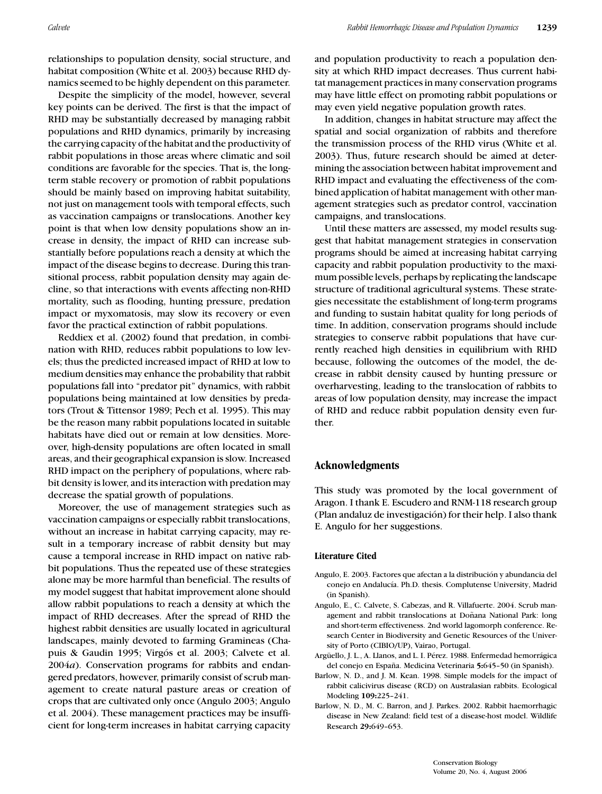relationships to population density, social structure, and habitat composition (White et al. 2003) because RHD dynamics seemed to be highly dependent on this parameter.

Despite the simplicity of the model, however, several key points can be derived. The first is that the impact of RHD may be substantially decreased by managing rabbit populations and RHD dynamics, primarily by increasing the carrying capacity of the habitat and the productivity of rabbit populations in those areas where climatic and soil conditions are favorable for the species. That is, the longterm stable recovery or promotion of rabbit populations should be mainly based on improving habitat suitability, not just on management tools with temporal effects, such as vaccination campaigns or translocations. Another key point is that when low density populations show an increase in density, the impact of RHD can increase substantially before populations reach a density at which the impact of the disease begins to decrease. During this transitional process, rabbit population density may again decline, so that interactions with events affecting non-RHD mortality, such as flooding, hunting pressure, predation impact or myxomatosis, may slow its recovery or even favor the practical extinction of rabbit populations.

Reddiex et al. (2002) found that predation, in combination with RHD, reduces rabbit populations to low levels; thus the predicted increased impact of RHD at low to medium densities may enhance the probability that rabbit populations fall into "predator pit" dynamics, with rabbit populations being maintained at low densities by predators (Trout & Tittensor 1989; Pech et al. 1995). This may be the reason many rabbit populations located in suitable habitats have died out or remain at low densities. Moreover, high-density populations are often located in small areas, and their geographical expansion is slow. Increased RHD impact on the periphery of populations, where rabbit density is lower, and its interaction with predation may decrease the spatial growth of populations.

Moreover, the use of management strategies such as vaccination campaigns or especially rabbit translocations, without an increase in habitat carrying capacity, may result in a temporary increase of rabbit density but may cause a temporal increase in RHD impact on native rabbit populations. Thus the repeated use of these strategies alone may be more harmful than beneficial. The results of my model suggest that habitat improvement alone should allow rabbit populations to reach a density at which the impact of RHD decreases. After the spread of RHD the highest rabbit densities are usually located in agricultural landscapes, mainly devoted to farming Gramineas (Chapuis & Gaudin 1995; Virgós et al. 2003; Calvete et al. 2004*a*). Conservation programs for rabbits and endangered predators, however, primarily consist of scrub management to create natural pasture areas or creation of crops that are cultivated only once (Angulo 2003; Angulo et al. 2004). These management practices may be insufficient for long-term increases in habitat carrying capacity

and population productivity to reach a population density at which RHD impact decreases. Thus current habitat management practices in many conservation programs may have little effect on promoting rabbit populations or may even yield negative population growth rates.

In addition, changes in habitat structure may affect the spatial and social organization of rabbits and therefore the transmission process of the RHD virus (White et al. 2003). Thus, future research should be aimed at determining the association between habitat improvement and RHD impact and evaluating the effectiveness of the combined application of habitat management with other management strategies such as predator control, vaccination campaigns, and translocations.

Until these matters are assessed, my model results suggest that habitat management strategies in conservation programs should be aimed at increasing habitat carrying capacity and rabbit population productivity to the maximum possible levels, perhaps by replicating the landscape structure of traditional agricultural systems. These strategies necessitate the establishment of long-term programs and funding to sustain habitat quality for long periods of time. In addition, conservation programs should include strategies to conserve rabbit populations that have currently reached high densities in equilibrium with RHD because, following the outcomes of the model, the decrease in rabbit density caused by hunting pressure or overharvesting, leading to the translocation of rabbits to areas of low population density, may increase the impact of RHD and reduce rabbit population density even further.

## **Acknowledgments**

This study was promoted by the local government of Aragon. I thank E. Escudero and RNM-118 research group (Plan andaluz de investigación) for their help. I also thank E. Angulo for her suggestions.

#### **Literature Cited**

- Angulo, E. 2003. Factores que afectan a la distribución y abundancia del conejo en Andalucía. Ph.D. thesis. Complutense University, Madrid (in Spanish).
- Angulo, E., C. Calvete, S. Cabezas, and R. Villafuerte. 2004. Scrub management and rabbit translocations at Doñana National Park: long and short-term effectiveness. 2nd world lagomorph conference. Research Center in Biodiversity and Genetic Resources of the University of Porto (CIBIO/UP), Vairao, Portugal.
- Argüello, J. L., A. Llanos, and L. I. Pérez. 1988. Enfermedad hemorrágica del conejo en Espana. Medicina Veterinaria ˜ **5:**645–50 (in Spanish).
- Barlow, N. D., and J. M. Kean. 1998. Simple models for the impact of rabbit calicivirus disease (RCD) on Australasian rabbits. Ecological Modeling **109:**225–241.
- Barlow, N. D., M. C. Barron, and J. Parkes. 2002. Rabbit haemorrhagic disease in New Zealand: field test of a disease-host model. Wildlife Research **29:**649–653.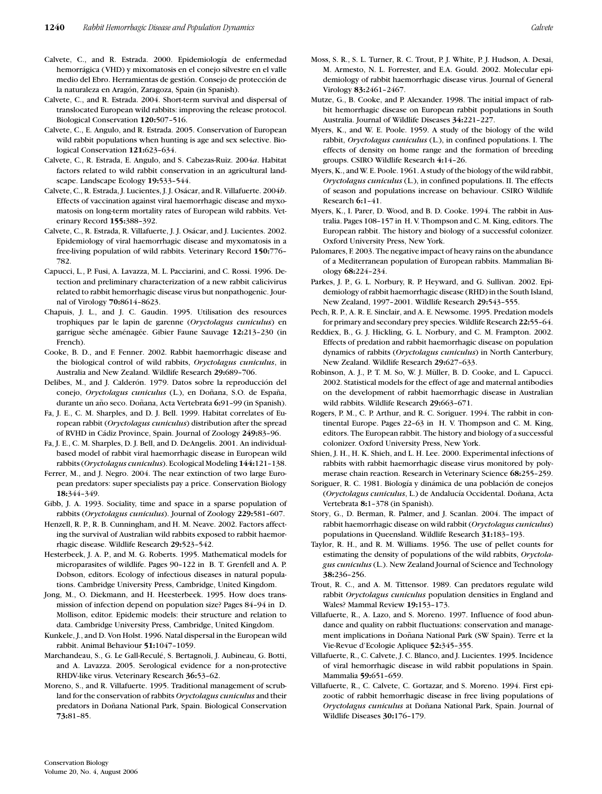- Calvete, C., and R. Estrada. 2000. Epidemiología de enfermedad hemorrágica (VHD) y mixomatosis en el conejo silvestre en el valle medio del Ebro. Herramientas de gestión. Consejo de protección de la naturaleza en Aragón, Zaragoza, Spain (in Spanish).
- Calvete, C., and R. Estrada. 2004. Short-term survival and dispersal of translocated European wild rabbits: improving the release protocol. Biological Conservation **120:**507–516.
- Calvete, C., E. Angulo, and R. Estrada. 2005. Conservation of European wild rabbit populations when hunting is age and sex selective. Biological Conservation **121:**623–634.
- Calvete, C., R. Estrada, E. Angulo, and S. Cabezas-Ruiz. 2004*a*. Habitat factors related to wild rabbit conservation in an agricultural landscape. Landscape Ecology **19:**533–544.
- Calvete, C., R. Estrada, J. Lucientes, J. J. Osácar, and R. Villafuerte. 2004*b*. Effects of vaccination against viral haemorrhagic disease and myxomatosis on long-term mortality rates of European wild rabbits. Veterinary Record **155:**388–392.
- Calvete, C., R. Estrada, R. Villafuerte, J. J. Osácar, and J. Lucientes. 2002. Epidemiology of viral haemorrhagic disease and myxomatosis in a free-living population of wild rabbits. Veterinary Record **150:**776– 782.
- Capucci, L., P. Fusi, A. Lavazza, M. L. Pacciarini, and C. Rossi. 1996. Detection and preliminary characterization of a new rabbit calicivirus related to rabbit hemorrhagic disease virus but nonpathogenic. Journal of Virology **70:**8614–8623.
- Chapuis, J. L., and J. C. Gaudin. 1995. Utilisation des resources trophiques par le lapin de garenne (*Oryctolagus cuniculus*) en garrigue sèche aménagée. Gibier Faune Sauvage 12:213-230 (in French).
- Cooke, B. D., and F. Fenner. 2002. Rabbit haemorrhagic disease and the biological control of wild rabbits, *Oryctolagus cuniculus*, in Australia and New Zealand. Wildlife Research **29:**689–706.
- Delibes, M., and J. Calderón. 1979. Datos sobre la reproducción del conejo, Oryctolagus cuniculus (L.), en Doñana, S.O. de España, durante un año seco. Doñana, Acta Vertebrata 6:91-99 (in Spanish).
- Fa, J. E., C. M. Sharples, and D. J. Bell. 1999. Habitat correlates of European rabbit (*Oryctolagus cuniculus*) distribution after the spread of RVHD in C´adiz Province, Spain. Journal of Zoology **249:**83–96.
- Fa, J. E., C. M. Sharples, D. J. Bell, and D. DeAngelis. 2001. An individualbased model of rabbit viral haemorrhagic disease in European wild rabbits (*Oryctolagus cuniculus*). Ecological Modeling **144:**121–138.
- Ferrer, M., and J. Negro. 2004. The near extinction of two large European predators: super specialists pay a price. Conservation Biology **18:**344–349.
- Gibb, J. A. 1993. Sociality, time and space in a sparse population of rabbits (*Oryctolagus cuniculus*). Journal of Zoology **229:**581–607.
- Henzell, R. P., R. B. Cunningham, and H. M. Neave. 2002. Factors affecting the survival of Australian wild rabbits exposed to rabbit haemorrhagic disease. Wildlife Research **29:**523–542.
- Hesterbeek, J. A. P., and M. G. Roberts. 1995. Mathematical models for microparasites of wildlife. Pages 90–122 in B. T. Grenfell and A. P. Dobson, editors. Ecology of infectious diseases in natural populations. Cambridge University Press, Cambridge, United Kingdom.
- Jong, M., O. Diekmann, and H. Heesterbeek. 1995. How does transmission of infection depend on population size? Pages 84–94 in D. Mollison, editor. Epidemic models: their structure and relation to data. Cambridge University Press, Cambridge, United Kingdom.
- Kunkele, J., and D. Von Holst. 1996. Natal dispersal in the European wild rabbit. Animal Behaviour **51:**1047–1059.
- Marchandeau, S., G. Le Gall-Reculé, S. Bertagnoli, J. Aubineau, G. Botti, and A. Lavazza. 2005. Serological evidence for a non-protective RHDV-like virus. Veterinary Research **36:**53–62.
- Moreno, S., and R. Villafuerte. 1995. Traditional management of scrubland for the conservation of rabbits *Oryctolagus cuniculus* and their predators in Doñana National Park, Spain. Biological Conservation **73:**81–85.
- Moss, S. R., S. L. Turner, R. C. Trout, P. J. White, P. J. Hudson, A. Desai, M. Armesto, N. L. Forrester, and E.A. Gould. 2002. Molecular epidemiology of rabbit haemorrhagic disease virus. Journal of General Virology **83:**2461–2467.
- Mutze, G., B. Cooke, and P. Alexander. 1998. The initial impact of rabbit hemorrhagic disease on European rabbit populations in South Australia. Journal of Wildlife Diseases **34:**221–227.
- Myers, K., and W. E. Poole. 1959. A study of the biology of the wild rabbit, *Oryctolagus cuniculus* (L.), in confined populations. I. The effects of density on home range and the formation of breeding groups. CSIRO Wildlife Research **4:**14–26.
- Myers, K., and W. E. Poole. 1961. A study of the biology of the wild rabbit, *Oryctolagus cuniculus* (L.), in confined populations. II. The effects of season and populations increase on behaviour. CSIRO Wildlife Research **6:**1–41.
- Myers, K., I. Parer, D. Wood, and B. D. Cooke. 1994. The rabbit in Australia. Pages 108–157 in H. V. Thompson and C. M. King, editors. The European rabbit. The history and biology of a successful colonizer. Oxford University Press, New York.
- Palomares, F. 2003. The negative impact of heavy rains on the abundance of a Mediterranean population of European rabbits. Mammalian Biology **68:**224–234.
- Parkes, J. P., G. L. Norbury, R. P. Heyward, and G. Sullivan. 2002. Epidemiology of rabbit haemorrhagic disease (RHD) in the South Island, New Zealand, 1997–2001. Wildlife Research **29:**543–555.
- Pech, R. P., A. R. E. Sinclair, and A. E. Newsome. 1995. Predation models for primary and secondary prey species. Wildlife Research **22:**55–64.
- Reddiex, B., G. J. Hickling, G. L. Norbury, and C. M. Frampton. 2002. Effects of predation and rabbit haemorrhagic disease on population dynamics of rabbits (*Oryctolagus cuniculus*) in North Canterbury, New Zealand. Wildlife Research **29:**627–633.
- Robinson, A. J., P. T. M. So, W. J. Müller, B. D. Cooke, and L. Capucci. 2002. Statistical models for the effect of age and maternal antibodies on the development of rabbit haemorrhagic disease in Australian wild rabbits. Wildlife Research **29:**663–671.
- Rogers, P. M., C. P. Arthur, and R. C. Soriguer. 1994. The rabbit in continental Europe. Pages 22–63 in H. V. Thompson and C. M. King, editors. The European rabbit. The history and biology of a successful colonizer. Oxford University Press, New York.
- Shien, J. H., H. K. Shieh, and L. H. Lee. 2000. Experimental infections of rabbits with rabbit haemorrhagic disease virus monitored by polymerase chain reaction. Research in Veterinary Science **68:**255–259.
- Soriguer, R. C. 1981. Biología y dinámica de una población de conejos (*Oryctolagus cuniculus*, L.) de Andaluc´ıa Occidental. Donana, Acta ˜ Vertebrata **8:**1–378 (in Spanish).
- Story, G., D. Berman, R. Palmer, and J. Scanlan. 2004. The impact of rabbit haemorrhagic disease on wild rabbit (*Oryctolagus cuniculus*) populations in Queensland. Wildlife Research **31:**183–193.
- Taylor, R. H., and R. M. Williams. 1956. The use of pellet counts for estimating the density of populations of the wild rabbits, *Oryctolagus cuniculus* (L.). New Zealand Journal of Science and Technology **38:**236–256.
- Trout, R. C., and A. M. Tittensor. 1989. Can predators regulate wild rabbit *Oryctolagus cuniculus* population densities in England and Wales? Mammal Review **19:**153–173.
- Villafuerte, R., A. Lazo, and S. Moreno. 1997. Influence of food abundance and quality on rabbit fluctuations: conservation and management implications in Doñana National Park (SW Spain). Terre et la Vie-Revue d'Ecologie Apliquee **52:**345–355.
- Villafuerte, R., C. Calvete, J. C. Blanco, and J. Lucientes. 1995. Incidence of viral hemorrhagic disease in wild rabbit populations in Spain. Mammalia **59:**651–659.
- Villafuerte, R., C. Calvete, C. Gortazar, and S. Moreno. 1994. First epizootic of rabbit hemorrhagic disease in free living populations of Oryctolagus cuniculus at Doñana National Park, Spain. Journal of Wildlife Diseases **30:**176–179.